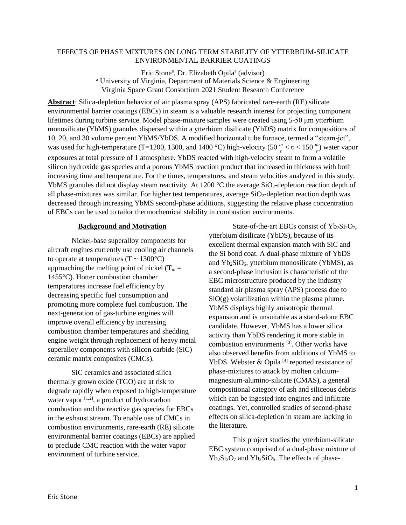# EFFECTS OF PHASE MIXTURES ON LONG TERM STABILITY OF YTTERBIUM-SILICATE ENVIRONMENTAL BARRIER COATINGS

Eric Stone<sup>a</sup>, Dr. Elizabeth Opila<sup>a</sup> (advisor) <sup>a</sup> University of Virginia, Department of Materials Science & Engineering Virginia Space Grant Consortium 2021 Student Research Conference

**Abstract**: Silica-depletion behavior of air plasma spray (APS) fabricated rare-earth (RE) silicate environmental barrier coatings (EBCs) in steam is a valuable research interest for projecting component lifetimes during turbine service. Model phase-mixture samples were created using 5-50 μm ytterbium monosilicate (YbMS) granules dispersed within a ytterbium disilicate (YbDS) matrix for compositions of 10, 20, and 30 volume percent YbMS/YbDS. A modified horizontal tube furnace, termed a "steam-jet", was used for high-temperature (T=1200, 1300, and 1400 °C) high-velocity (50  $\frac{m}{s}$  <  $v$  < 150  $\frac{m}{s}$ ) water vapor exposures at total pressure of 1 atmosphere. YbDS reacted with high-velocity steam to form a volatile silicon hydroxide gas species and a porous YbMS reaction product that increased in thickness with both increasing time and temperature. For the times, temperatures, and steam velocities analyzed in this study, YbMS granules did not display steam reactivity. At 1200  $^{\circ}$ C the average SiO<sub>2</sub>-depletion reaction depth of all phase-mixtures was similar. For higher test temperatures, average  $SiO_2$ -depletion reaction depth was decreased through increasing YbMS second-phase additions, suggesting the relative phase concentration of EBCs can be used to tailor thermochemical stability in combustion environments.

### **Background and Motivation**

 Nickel-base superalloy components for aircraft engines currently use cooling air channels to operate at temperatures  $(T \sim 1300^{\circ}C)$ approaching the melting point of nickel  $(T_m =$ 1455°C). Hotter combustion chamber temperatures increase fuel efficiency by decreasing specific fuel consumption and promoting more complete fuel combustion. The next-generation of gas-turbine engines will improve overall efficiency by increasing combustion chamber temperatures and shedding engine weight through replacement of heavy metal superalloy components with silicon carbide (SiC) ceramic matrix composites (CMCs).

 SiC ceramics and associated silica thermally grown oxide (TGO) are at risk to degrade rapidly when exposed to high-temperature water vapor  $[1,2]$ , a product of hydrocarbon combustion and the reactive gas species for EBCs in the exhaust stream. To enable use of CMCs in combustion environments, rare-earth (RE) silicate environmental barrier coatings (EBCs) are applied to preclude CMC reaction with the water vapor environment of turbine service.

State-of-the-art EBCs consist of  $Yb_2Si_2O_7$ , ytterbium disilicate (YbDS), because of its excellent thermal expansion match with SiC and the Si bond coat. A dual-phase mixture of YbDS and  $Yb_2SiO_5$ , ytterbium monosilicate (YbMS), as a second-phase inclusion is characteristic of the EBC microstructure produced by the industry standard air plasma spray (APS) process due to  $SiO(g)$  volatilization within the plasma plume. YbMS displays highly anisotropic thermal expansion and is unsuitable as a stand-alone EBC candidate. However, YbMS has a lower silica activity than YbDS rendering it more stable in combustion environments<sup>[3]</sup>. Other works have also observed benefits from additions of YbMS to YbDS. Webster  $\&$  Opila<sup>[4]</sup> reported resistance of phase-mixtures to attack by molten calciummagnesium-alumino-silicate (CMAS), a general compositional category of ash and siliceous debris which can be ingested into engines and infiltrate coatings. Yet, controlled studies of second-phase effects on silica-depletion in steam are lacking in the literature.

This project studies the ytterbium-silicate EBC system comprised of a dual-phase mixture of  $Yb_2Si_2O_7$  and  $Yb_2SiO_5$ . The effects of phase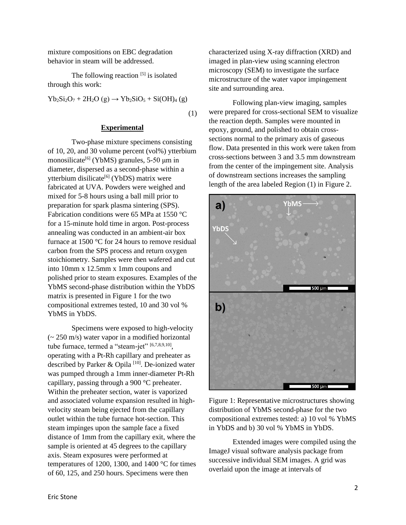mixture compositions on EBC degradation behavior in steam will be addressed.

The following reaction  $[5]$  is isolated through this work:

$$
Yb_2Si_2O_7 + 2H_2O(g) \rightarrow Yb_2SiO_5 + Si(OH)_4(g)
$$

(1)

### **Experimental**

Two-phase mixture specimens consisting of 10, 20, and 30 volume percent (vol%) ytterbium monosilicate<sup>[6]</sup> (YbMS) granules, 5-50  $\mu$ m in diameter, dispersed as a second-phase within a ytterbium disilicate<sup>[6]</sup> (YbDS) matrix were fabricated at UVA. Powders were weighed and mixed for 5-8 hours using a ball mill prior to preparation for spark plasma sintering (SPS). Fabrication conditions were 65 MPa at 1550 °C for a 15-minute hold time in argon. Post-process annealing was conducted in an ambient-air box furnace at 1500 °C for 24 hours to remove residual carbon from the SPS process and return oxygen stoichiometry. Samples were then wafered and cut into 10mm x 12.5mm x 1mm coupons and polished prior to steam exposures. Examples of the YbMS second-phase distribution within the YbDS matrix is presented in Figure 1 for the two compositional extremes tested, 10 and 30 vol % YbMS in YbDS.

 Specimens were exposed to high-velocity  $(-250 \text{ m/s})$  water vapor in a modified horizontal tube furnace, termed a "steam-jet" [6,7,8,9,10], operating with a Pt-Rh capillary and preheater as described by Parker & Opila [10]. De-ionized water was pumped through a 1mm inner-diameter Pt-Rh capillary, passing through a 900 °C preheater. Within the preheater section, water is vaporized and associated volume expansion resulted in highvelocity steam being ejected from the capillary outlet within the tube furnace hot-section. This steam impinges upon the sample face a fixed distance of 1mm from the capillary exit, where the sample is oriented at 45 degrees to the capillary axis. Steam exposures were performed at temperatures of 1200, 1300, and 1400 °C for times of 60, 125, and 250 hours. Specimens were then

characterized using X-ray diffraction (XRD) and imaged in plan-view using scanning electron microscopy (SEM) to investigate the surface microstructure of the water vapor impingement site and surrounding area.

Following plan-view imaging, samples were prepared for cross-sectional SEM to visualize the reaction depth. Samples were mounted in epoxy, ground, and polished to obtain crosssections normal to the primary axis of gaseous flow. Data presented in this work were taken from cross-sections between 3 and 3.5 mm downstream from the center of the impingement site. Analysis of downstream sections increases the sampling length of the area labeled Region (1) in Figure 2.



Figure 1: Representative microstructures showing distribution of YbMS second-phase for the two compositional extremes tested: a) 10 vol % YbMS in YbDS and b) 30 vol % YbMS in YbDS.

 Extended images were compiled using the ImageJ visual software analysis package from successive individual SEM images. A grid was overlaid upon the image at intervals of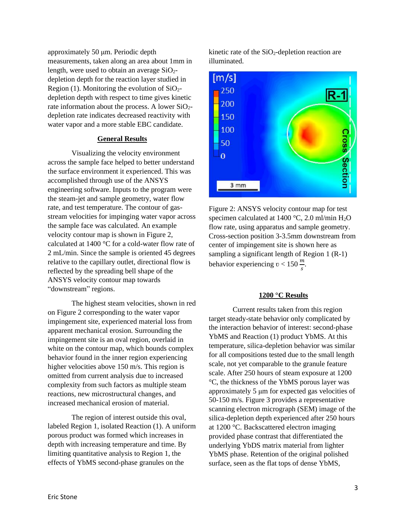approximately 50 μm. Periodic depth measurements, taken along an area about 1mm in length, were used to obtain an average  $SiO<sub>2</sub>$ depletion depth for the reaction layer studied in Region (1). Monitoring the evolution of  $SiO<sub>2</sub>$ depletion depth with respect to time gives kinetic rate information about the process. A lower  $SiO<sub>2</sub>$ depletion rate indicates decreased reactivity with water vapor and a more stable EBC candidate.

### **General Results**

 Visualizing the velocity environment across the sample face helped to better understand the surface environment it experienced. This was accomplished through use of the ANSYS engineering software. Inputs to the program were the steam-jet and sample geometry, water flow rate, and test temperature. The contour of gasstream velocities for impinging water vapor across the sample face was calculated. An example velocity contour map is shown in Figure 2, calculated at 1400 °C for a cold-water flow rate of 2 mL/min. Since the sample is oriented 45 degrees relative to the capillary outlet, directional flow is reflected by the spreading bell shape of the ANSYS velocity contour map towards "downstream" regions.

The highest steam velocities, shown in red on Figure 2 corresponding to the water vapor impingement site, experienced material loss from apparent mechanical erosion. Surrounding the impingement site is an oval region, overlaid in white on the contour map, which bounds complex behavior found in the inner region experiencing higher velocities above 150 m/s. This region is omitted from current analysis due to increased complexity from such factors as multiple steam reactions, new microstructural changes, and increased mechanical erosion of material.

The region of interest outside this oval, labeled Region 1, isolated Reaction (1). A uniform porous product was formed which increases in depth with increasing temperature and time. By limiting quantitative analysis to Region 1, the effects of YbMS second-phase granules on the

kinetic rate of the  $SiO<sub>2</sub>$ -depletion reaction are illuminated.



Figure 2: ANSYS velocity contour map for test specimen calculated at 1400 °C, 2.0 ml/min  $H_2O$ flow rate, using apparatus and sample geometry. Cross-section position 3-3.5mm downstream from center of impingement site is shown here as sampling a significant length of Region 1 (R-1) behavior experiencing  $v < 150 \frac{m}{s}$ .

# **1200 °C Results**

Current results taken from this region target steady-state behavior only complicated by the interaction behavior of interest: second-phase YbMS and Reaction (1) product YbMS. At this temperature, silica-depletion behavior was similar for all compositions tested due to the small length scale, not yet comparable to the granule feature scale. After 250 hours of steam exposure at 1200 °C, the thickness of the YbMS porous layer was approximately 5 μm for expected gas velocities of 50-150 m/s. Figure 3 provides a representative scanning electron micrograph (SEM) image of the silica-depletion depth experienced after 250 hours at 1200 °C. Backscattered electron imaging provided phase contrast that differentiated the underlying YbDS matrix material from lighter YbMS phase. Retention of the original polished surface, seen as the flat tops of dense YbMS,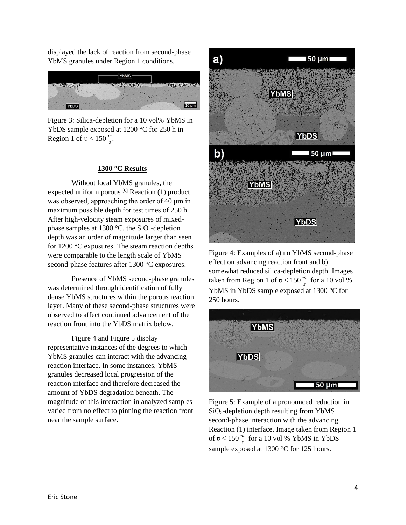displayed the lack of reaction from second-phase YbMS granules under Region 1 conditions.



Figure 3: Silica-depletion for a 10 vol% YbMS in YbDS sample exposed at 1200 °C for 250 h in Region 1 of  $v < 150 \frac{m}{s}$ .

### **1300 °C Results**

Without local YbMS granules, the expected uniform porous  $[6]$  Reaction (1) product was observed, approaching the order of 40 μm in maximum possible depth for test times of 250 h. After high-velocity steam exposures of mixedphase samples at 1300  $\degree$ C, the SiO<sub>2</sub>-depletion depth was an order of magnitude larger than seen for 1200 °C exposures. The steam reaction depths were comparable to the length scale of YbMS second-phase features after 1300 °C exposures.

 Presence of YbMS second-phase granules was determined through identification of fully dense YbMS structures within the porous reaction layer. Many of these second-phase structures were observed to affect continued advancement of the reaction front into the YbDS matrix below.

 Figure 4 and Figure 5 display representative instances of the degrees to which YbMS granules can interact with the advancing reaction interface. In some instances, YbMS granules decreased local progression of the reaction interface and therefore decreased the amount of YbDS degradation beneath. The magnitude of this interaction in analyzed samples varied from no effect to pinning the reaction front near the sample surface.



Figure 4: Examples of a) no YbMS second-phase effect on advancing reaction front and b) somewhat reduced silica-depletion depth. Images taken from Region 1 of  $v < 150 \frac{m}{s}$  for a 10 vol % YbMS in YbDS sample exposed at 1300 °C for 250 hours.



Figure 5: Example of a pronounced reduction in SiO2-depletion depth resulting from YbMS second-phase interaction with the advancing Reaction (1) interface. Image taken from Region 1 of  $v < 150 \frac{m}{s}$  for a 10 vol % YbMS in YbDS sample exposed at 1300 °C for 125 hours.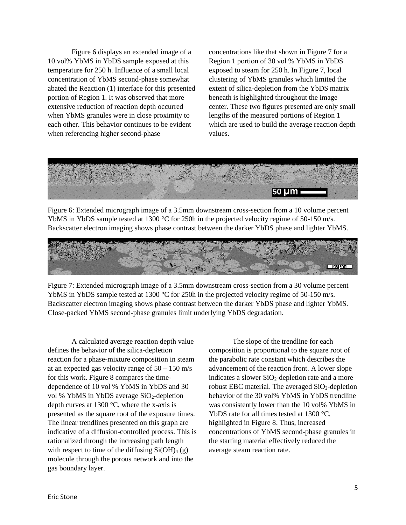Figure 6 displays an extended image of a 10 vol% YbMS in YbDS sample exposed at this temperature for 250 h. Influence of a small local concentration of YbMS second-phase somewhat abated the Reaction (1) interface for this presented portion of Region 1. It was observed that more extensive reduction of reaction depth occurred when YbMS granules were in close proximity to each other. This behavior continues to be evident when referencing higher second-phase

concentrations like that shown in Figure 7 for a Region 1 portion of 30 vol % YbMS in YbDS exposed to steam for 250 h. In Figure 7, local clustering of YbMS granules which limited the extent of silica-depletion from the YbDS matrix beneath is highlighted throughout the image center. These two figures presented are only small lengths of the measured portions of Region 1 which are used to build the average reaction depth values.



Figure 6: Extended micrograph image of a 3.5mm downstream cross-section from a 10 volume percent YbMS in YbDS sample tested at 1300 °C for 250h in the projected velocity regime of 50-150 m/s. Backscatter electron imaging shows phase contrast between the darker YbDS phase and lighter YbMS.



Figure 7: Extended micrograph image of a 3.5mm downstream cross-section from a 30 volume percent YbMS in YbDS sample tested at 1300 °C for 250h in the projected velocity regime of 50-150 m/s. Backscatter electron imaging shows phase contrast between the darker YbDS phase and lighter YbMS. Close-packed YbMS second-phase granules limit underlying YbDS degradation.

 A calculated average reaction depth value defines the behavior of the silica-depletion reaction for a phase-mixture composition in steam at an expected gas velocity range of  $50 - 150$  m/s for this work. Figure 8 compares the timedependence of 10 vol % YbMS in YbDS and 30 vol % YbMS in YbDS average SiO<sub>2</sub>-depletion depth curves at  $1300 \degree C$ , where the x-axis is presented as the square root of the exposure times. The linear trendlines presented on this graph are indicative of a diffusion-controlled process. This is rationalized through the increasing path length with respect to time of the diffusing  $Si(OH)_4(g)$ molecule through the porous network and into the gas boundary layer.

The slope of the trendline for each composition is proportional to the square root of the parabolic rate constant which describes the advancement of the reaction front. A lower slope indicates a slower  $SiO<sub>2</sub>$ -depletion rate and a more robust EBC material. The averaged  $SiO<sub>2</sub>$ -depletion behavior of the 30 vol% YbMS in YbDS trendline was consistently lower than the 10 vol% YbMS in YbDS rate for all times tested at 1300 °C, highlighted in Figure 8. Thus, increased concentrations of YbMS second-phase granules in the starting material effectively reduced the average steam reaction rate.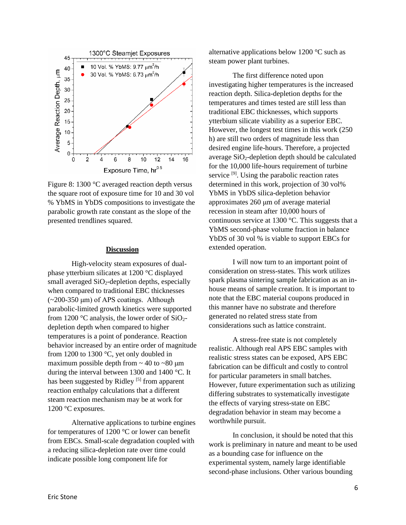

Figure 8: 1300 °C averaged reaction depth versus the square root of exposure time for 10 and 30 vol % YbMS in YbDS compositions to investigate the parabolic growth rate constant as the slope of the presented trendlines squared.

### **Discussion**

 High-velocity steam exposures of dualphase ytterbium silicates at 1200 °C displayed small averaged  $SiO<sub>2</sub>$ -depletion depths, especially when compared to traditional EBC thicknesses  $(-200-350 \mu m)$  of APS coatings. Although parabolic-limited growth kinetics were supported from 1200  $\degree$ C analysis, the lower order of SiO<sub>2</sub>depletion depth when compared to higher temperatures is a point of ponderance. Reaction behavior increased by an entire order of magnitude from 1200 to 1300 °C, yet only doubled in maximum possible depth from  $\sim$  40 to  $\sim$  80 µm during the interval between 1300 and 1400 °C. It has been suggested by Ridley<sup>[5]</sup> from apparent reaction enthalpy calculations that a different steam reaction mechanism may be at work for 1200 °C exposures.

Alternative applications to turbine engines for temperatures of 1200 °C or lower can benefit from EBCs. Small-scale degradation coupled with a reducing silica-depletion rate over time could indicate possible long component life for

alternative applications below 1200 °C such as steam power plant turbines.

 The first difference noted upon investigating higher temperatures is the increased reaction depth. Silica-depletion depths for the temperatures and times tested are still less than traditional EBC thicknesses, which supports ytterbium silicate viability as a superior EBC. However, the longest test times in this work (250 h) are still two orders of magnitude less than desired engine life-hours. Therefore, a projected average  $SiO<sub>2</sub>$ -depletion depth should be calculated for the 10,000 life-hours requirement of turbine service<sup>[9]</sup>. Using the parabolic reaction rates determined in this work, projection of 30 vol% YbMS in YbDS silica-depletion behavior approximates 260 μm of average material recession in steam after 10,000 hours of continuous service at 1300 °C. This suggests that a YbMS second-phase volume fraction in balance YbDS of 30 vol % is viable to support EBCs for extended operation.

 I will now turn to an important point of consideration on stress-states. This work utilizes spark plasma sintering sample fabrication as an inhouse means of sample creation. It is important to note that the EBC material coupons produced in this manner have no substrate and therefore generated no related stress state from considerations such as lattice constraint.

 A stress-free state is not completely realistic. Although real APS EBC samples with realistic stress states can be exposed, APS EBC fabrication can be difficult and costly to control for particular parameters in small batches. However, future experimentation such as utilizing differing substrates to systematically investigate the effects of varying stress-state on EBC degradation behavior in steam may become a worthwhile pursuit.

In conclusion, it should be noted that this work is preliminary in nature and meant to be used as a bounding case for influence on the experimental system, namely large identifiable second-phase inclusions. Other various bounding